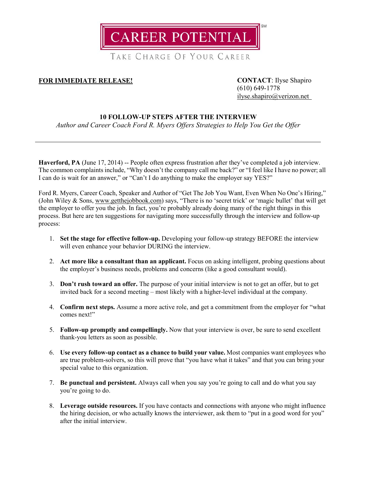

TAKE CHARGE OF YOUR CAREER

## **FOR IMMEDIATE RELEASE! CONTACT**: Ilyse Shapiro

(610) 649-1778 [ilyse.shapiro@verizon.net](mailto:ilyse.shapiro@verizon.net)

## **10 FOLLOW-UP STEPS AFTER THE INTERVIEW**

*Author and Career Coach Ford R. Myers Offers Strategies to Help You Get the Offer*

**Haverford, PA** (June 17, 2014) -- People often express frustration after they've completed a job interview. The common complaints include, "Why doesn't the company call me back?" or "I feel like I have no power; all I can do is wait for an answer," or "Can't I do anything to make the employer say YES?"

Ford R. Myers, Career Coach, Speaker and Author of "Get The Job You Want, Even When No One's Hiring," (John Wiley & Sons, [www.getthejobbook.com\)](http://www.getthejobbook.com/) says, "There is no 'secret trick' or 'magic bullet' that will get the employer to offer you the job. In fact, you're probably already doing many of the right things in this process. But here are ten suggestions for navigating more successfully through the interview and follow-up process:

- 1. **Set the stage for effective follow-up.** Developing your follow-up strategy BEFORE the interview will even enhance your behavior DURING the interview.
- 2. **Act more like a consultant than an applicant.** Focus on asking intelligent, probing questions about the employer's business needs, problems and concerns (like a good consultant would).
- 3. **Don't rush toward an offer.** The purpose of your initial interview is not to get an offer, but to get invited back for a second meeting – most likely with a higher-level individual at the company.
- 4. **Confirm next steps.** Assume a more active role, and get a commitment from the employer for "what comes next!"
- 5. **Follow-up promptly and compellingly.** Now that your interview is over, be sure to send excellent thank-you letters as soon as possible.
- 6. **Use every follow-up contact as a chance to build your value.** Most companies want employees who are true problem-solvers, so this will prove that "you have what it takes" and that you can bring your special value to this organization.
- 7. **Be punctual and persistent.** Always call when you say you're going to call and do what you say you're going to do.
- 8. **Leverage outside resources.** If you have contacts and connections with anyone who might influence the hiring decision, or who actually knows the interviewer, ask them to "put in a good word for you" after the initial interview.